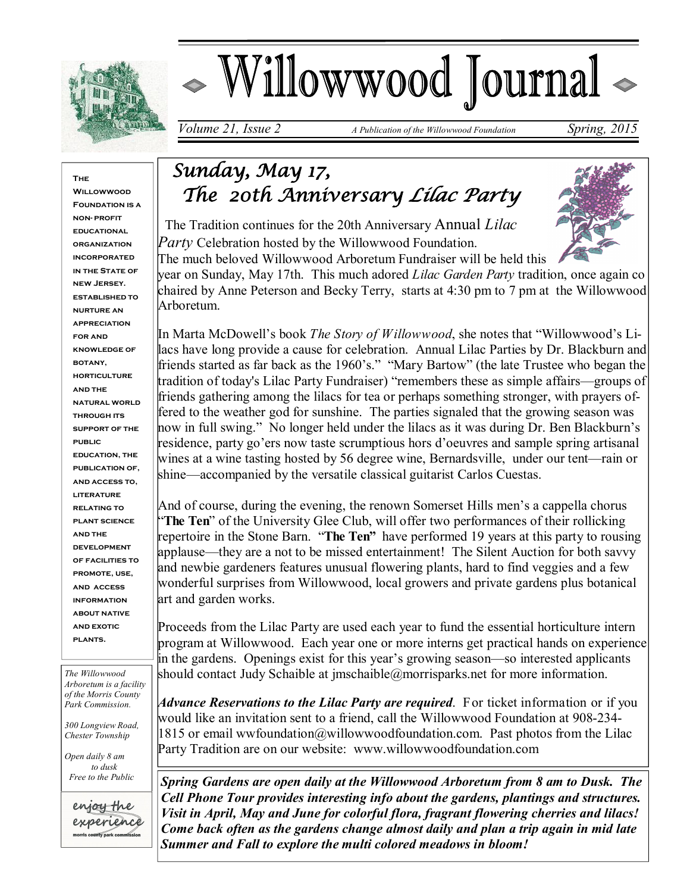

# Willowwood Journal

*Volume 21, Issue 2 A Publication of the Willowwood Foundation Spring, 2015* 

**The Willowwoon Foundation is a non- profit educational organization incorporated IN THE STATE OF new Jersey. established to nurture an appreciation for and knowledge of botany, horticulture and the natural world through its support of the public education, the publication of, and access to, literature relating to plant science and the development of facilities to promote, use, and access information about native and exotic plants.**

*The Willowwood Arboretum is a facility of the Morris County Park Commission.*

*300 Longview Road, Chester Township*

*Open daily 8 am to dusk Free to the Public*



# *Sunday, May 17, The 20th Anniversary Lilac Party*

 The Tradition continues for the 20th Anniversary Annual *Lilac Party* Celebration hosted by the Willowwood Foundation.

The much beloved Willowwood Arboretum Fundraiser will be held this year on Sunday, May 17th. This much adored *Lilac Garden Party* tradition, once again co chaired by Anne Peterson and Becky Terry, starts at 4:30 pm to 7 pm at the Willowwood Arboretum.

In Marta McDowell's book *The Story of Willowwood*, she notes that "Willowwood's Lilacs have long provide a cause for celebration. Annual Lilac Parties by Dr. Blackburn and friends started as far back as the 1960's." "Mary Bartow" (the late Trustee who began the tradition of today's Lilac Party Fundraiser) "remembers these as simple affairs—groups of friends gathering among the lilacs for tea or perhaps something stronger, with prayers offered to the weather god for sunshine. The parties signaled that the growing season was now in full swing." No longer held under the lilacs as it was during Dr. Ben Blackburn's residence, party go'ers now taste scrumptious hors d'oeuvres and sample spring artisanal wines at a wine tasting hosted by 56 degree wine, Bernardsville, under our tent—rain or shine—accompanied by the versatile classical guitarist Carlos Cuestas.

And of course, during the evening, the renown Somerset Hills men's a cappella chorus "**The Ten**" of the University Glee Club, will offer two performances of their rollicking repertoire in the Stone Barn. "**The Ten"** have performed 19 years at this party to rousing applause—they are a not to be missed entertainment! The Silent Auction for both savvy and newbie gardeners features unusual flowering plants, hard to find veggies and a few wonderful surprises from Willowwood, local growers and private gardens plus botanical art and garden works.

Proceeds from the Lilac Party are used each year to fund the essential horticulture intern program at Willowwood. Each year one or more interns get practical hands on experience in the gardens. Openings exist for this year's growing season—so interested applicants should contact Judy Schaible at jmschaible@morrisparks.net for more information.

*Advance Reservations to the Lilac Party are required*. For ticket information or if you would like an invitation sent to a friend, call the Willowwood Foundation at 908-234-  $1815$  or email wwfoundation@willowwoodfoundation.com. Past photos from the Lilac Party Tradition are on our website: www.willowwoodfoundation.com

*Spring Gardens are open daily at the Willowwood Arboretum from 8 am to Dusk. The Cell Phone Tour provides interesting info about the gardens, plantings and structures. Visit in April, May and June for colorful flora, fragrant flowering cherries and lilacs! Come back often as the gardens change almost daily and plan a trip again in mid late Summer and Fall to explore the multi colored meadows in bloom!*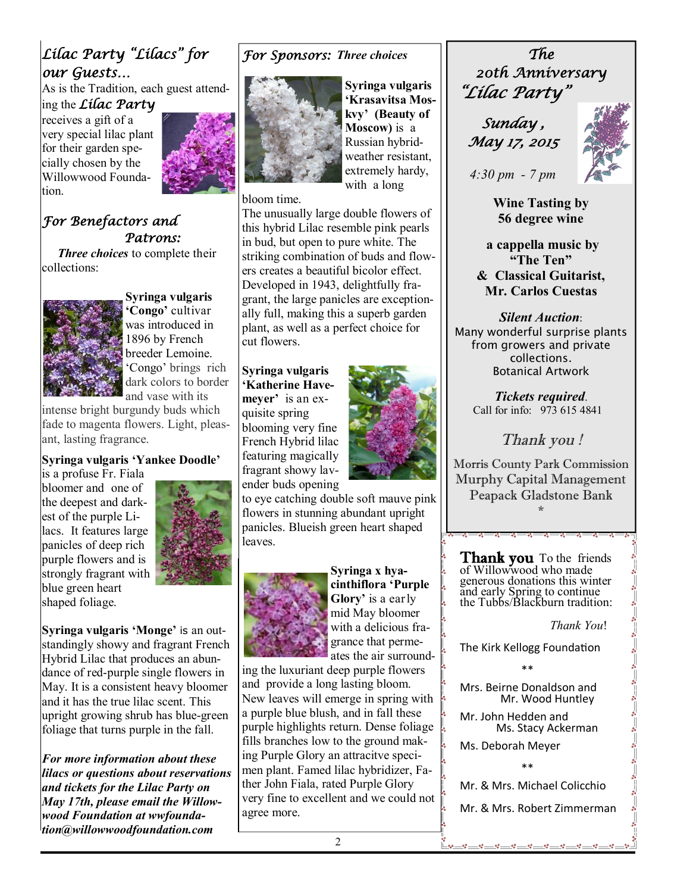## *Lilac Party "Lilacs" for our Guests…*

As is the Tradition, each guest attending the *Lilac Party*

receives a gift of a very special lilac plant for their garden specially chosen by the Willowwood Foundation.



#### *For Benefactors and Patrons:*

 *Three choices* to complete their collections:



**Syringa vulgaris 'Congo'** cultivar was introduced in 1896 by French breeder Lemoine. 'Congo' brings rich dark colors to border and vase with its

intense bright burgundy buds which fade to magenta flowers. Light, pleasant, lasting fragrance.

#### **Syringa vulgaris 'Yankee Doodle'**

is a profuse Fr. Fiala bloomer and one of the deepest and darkest of the purple Lilacs. It features large panicles of deep rich purple flowers and is strongly fragrant with blue green heart shaped foliage.



**Syringa vulgaris 'Monge'** is an outstandingly showy and fragrant French Hybrid Lilac that produces an abundance of red-purple single flowers in May. It is a consistent heavy bloomer and it has the true lilac scent. This upright growing shrub has blue-green foliage that turns purple in the fall.

*For more information about these lilacs or questions about reservations and tickets for the Lilac Party on May 17th, please email the Willowwood Foundation at wwfoundation@willowwoodfoundation.com*

#### *For Sponsors: Three choices*



**Syringa vulgaris 'Krasavitsa Moskvy' (Beauty of Moscow)** is a Russian hybridweather resistant, extremely hardy, with a long

bloom time.

The unusually large double flowers of this hybrid Lilac resemble pink pearls in bud, but open to pure white. The striking combination of buds and flowers creates a beautiful bicolor effect. Developed in 1943, delightfully fragrant, the large panicles are exceptionally full, making this a superb garden plant, as well as a perfect choice for cut flowers.

**Syringa vulgaris 'Katherine Havemeyer'** is an exquisite spring blooming very fine French Hybrid lilac featuring magically fragrant showy lavender buds opening



to eye catching double soft mauve pink flowers in stunning abundant upright panicles. Blueish green heart shaped leaves.



**Syringa x hyacinthiflora 'Purple Glory'** is a early mid May bloomer with a delicious fragrance that permeates the air surround-

 $\frac{1}{2}$ 

ing the luxuriant deep purple flowers and provide a long lasting bloom. New leaves will emerge in spring with a purple blue blush, and in fall these purple highlights return. Dense foliage  $\int_{\delta}$ fills branches low to the ground making Purple Glory an attracitve specimen plant. Famed lilac hybridizer, Father John Fiala, rated Purple Glory very fine to excellent and we could not agree more.

*The 20th Anniversary "Lilac Party"* 

 *Sunday , May 17, 2015* 



*4:30 pm - 7 pm* 

**Wine Tasting by 56 degree wine**

**a cappella music by "The Ten" & Classical Guitarist, Mr. Carlos Cuestas** 

*Silent Auction*: Many wonderful surprise plants from growers and private collections. Botanical Artwork

> *Tickets required*. Call for info: 973 615 4841

#### *Thank you !*

Morris County Park Commission Murphy Capital Management Peapack Gladstone Bank \*

**Thank you** To the friends of Willowwood who made generous donations this winter and early Spring to continue the Tubbs/Blackburn tradition:

 *Thank You*!

The Kirk Kellogg Foundation

\*\*

Mrs. Beirne Donaldson and Mr. Wood Huntley

Mr. John Hedden and Ms. Stacy Ackerman

Ms. Deborah Meyer

\*\*

Mr. & Mrs. Michael Colicchio

Mr. & Mrs. Robert Zimmerman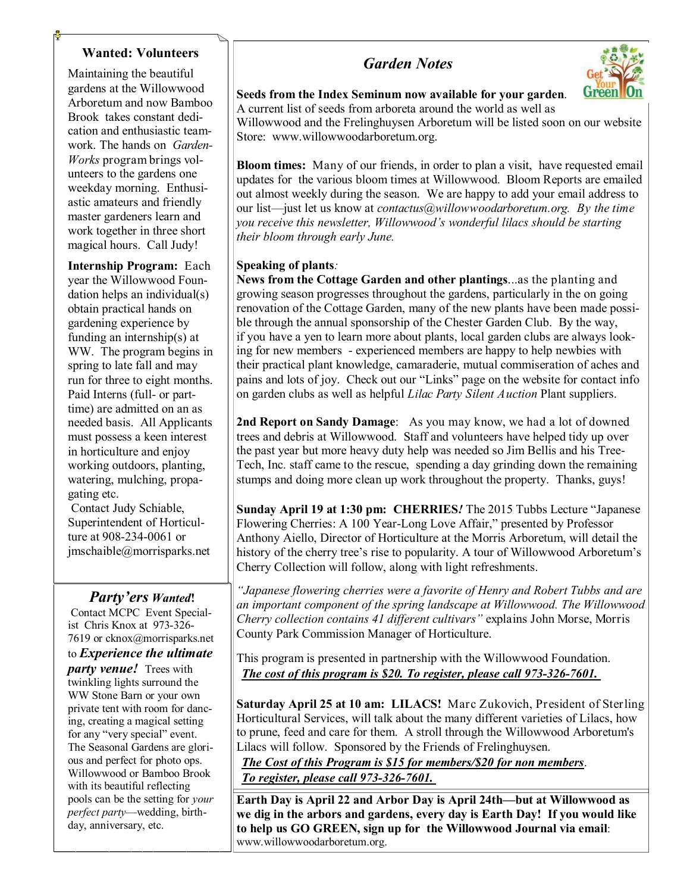#### **Wanted: Volunteers**

Maintaining the beautiful gardens at the Willowwood Arboretum and now Bamboo Brook takes constant dedication and enthusiastic teamwork. The hands on *Garden-Works* program brings volunteers to the gardens one weekday morning. Enthusiastic amateurs and friendly master gardeners learn and work together in three short magical hours. Call Judy!

**Internship Program:** Each year the Willowwood Foundation helps an individual(s) obtain practical hands on gardening experience by funding an internship(s) at WW. The program begins in spring to late fall and may run for three to eight months. Paid Interns (full- or parttime) are admitted on an as needed basis. All Applicants must possess a keen interest in horticulture and enjoy working outdoors, planting, watering, mulching, propagating etc.

Contact Judy Schiable, Superintendent of Horticulture at 908-234-0061 or jmschaible@morrisparks.net

#### *Party'ers Wanted***!**

Contact MCPC Event Specialist Chris Knox at 973-326- 7619 or cknox@morrisparks.net

to *Experience the ultimate* 

*party venue!* Trees with twinkling lights surround the WW Stone Barn or your own private tent with room for dancing, creating a magical setting for any "very special" event. The Seasonal Gardens are glorious and perfect for photo ops. Willowwood or Bamboo Brook with its beautiful reflecting pools can be the setting for *your perfect party*—wedding, birthday, anniversary, etc.

## *Garden Notes*



**Seeds from the Index Seminum now available for your garden**. A current list of seeds from arboreta around the world as well as Willowwood and the Frelinghuysen Arboretum will be listed soon on our website

Store: www.willowwoodarboretum.org.

**Bloom times:** Many of our friends, in order to plan a visit, have requested email updates for the various bloom times at Willowwood. Bloom Reports are emailed out almost weekly during the season. We are happy to add your email address to our list—just let us know at *contactus@willowwoodarboretum.org. By the time you receive this newsletter, Willowwood's wonderful lilacs should be starting their bloom through early June.*

#### **Speaking of plants***:*

**News from the Cottage Garden and other plantings**...as the planting and growing season progresses throughout the gardens, particularly in the on going renovation of the Cottage Garden, many of the new plants have been made possible through the annual sponsorship of the Chester Garden Club. By the way, if you have a yen to learn more about plants, local garden clubs are always looking for new members - experienced members are happy to help newbies with their practical plant knowledge, camaraderie, mutual commiseration of aches and pains and lots of joy. Check out our "Links" page on the website for contact info on garden clubs as well as helpful *Lilac Party Silent Auction* Plant suppliers.

**2nd Report on Sandy Damage**: As you may know, we had a lot of downed trees and debris at Willowwood. Staff and volunteers have helped tidy up over the past year but more heavy duty help was needed so Jim Bellis and his Tree-Tech, Inc. staff came to the rescue, spending a day grinding down the remaining stumps and doing more clean up work throughout the property. Thanks, guys!

**Sunday April 19 at 1:30 pm: CHERRIES***!* The 2015 Tubbs Lecture "Japanese Flowering Cherries: A 100 Year-Long Love Affair," presented by Professor Anthony Aiello, Director of Horticulture at the Morris Arboretum, will detail the history of the cherry tree's rise to popularity. A tour of Willowwood Arboretum's Cherry Collection will follow, along with light refreshments.

*"Japanese flowering cherries were a favorite of Henry and Robert Tubbs and are an important component of the spring landscape at Willowwood. The Willowwood Cherry collection contains 41 different cultivars"* explains John Morse, Morris County Park Commission Manager of Horticulture.

This program is presented in partnership with the Willowwood Foundation. *The cost of this program is \$20. To register, please call 973-326-7601.*

**Saturday April 25 at 10 am: LILACS!** Marc Zukovich, President of Sterling Horticultural Services, will talk about the many different varieties of Lilacs, how to prune, feed and care for them. A stroll through the Willowwood Arboretum's Lilacs will follow. Sponsored by the Friends of Frelinghuysen.

*The Cost of this Program is \$15 for members/\$20 for non members*. *To register, please call 973-326-7601.*

**Earth Day is April 22 and Arbor Day is April 24th—but at Willowwood as we dig in the arbors and gardens, every day is Earth Day! If you would like to help us GO GREEN, sign up for the Willowwood Journal via email**: www.willowwoodarboretum.org.